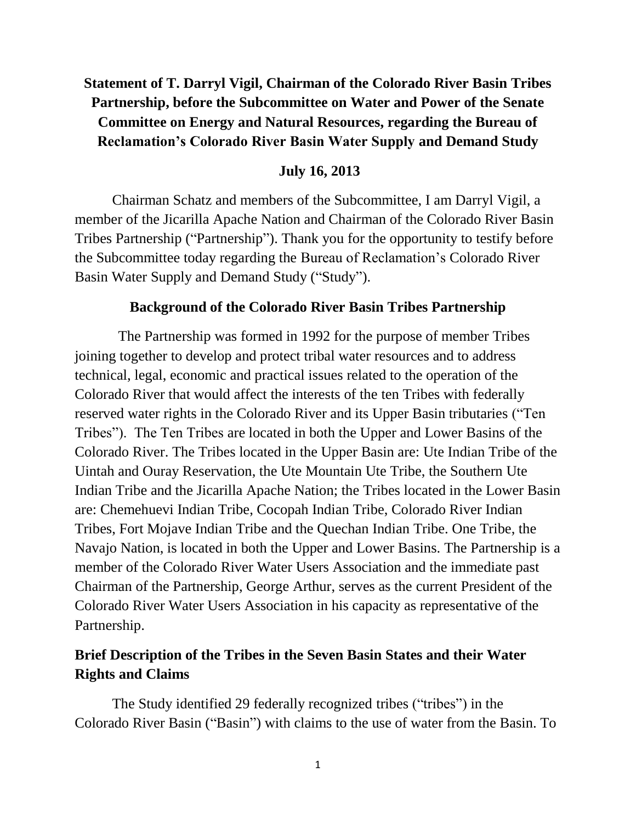# **Statement of T. Darryl Vigil, Chairman of the Colorado River Basin Tribes Partnership, before the Subcommittee on Water and Power of the Senate Committee on Energy and Natural Resources, regarding the Bureau of Reclamation's Colorado River Basin Water Supply and Demand Study**

### **July 16, 2013**

Chairman Schatz and members of the Subcommittee, I am Darryl Vigil, a member of the Jicarilla Apache Nation and Chairman of the Colorado River Basin Tribes Partnership ("Partnership"). Thank you for the opportunity to testify before the Subcommittee today regarding the Bureau of Reclamation's Colorado River Basin Water Supply and Demand Study ("Study").

### **Background of the Colorado River Basin Tribes Partnership**

 The Partnership was formed in 1992 for the purpose of member Tribes joining together to develop and protect tribal water resources and to address technical, legal, economic and practical issues related to the operation of the Colorado River that would affect the interests of the ten Tribes with federally reserved water rights in the Colorado River and its Upper Basin tributaries ("Ten Tribes"). The Ten Tribes are located in both the Upper and Lower Basins of the Colorado River. The Tribes located in the Upper Basin are: Ute Indian Tribe of the Uintah and Ouray Reservation, the Ute Mountain Ute Tribe, the Southern Ute Indian Tribe and the Jicarilla Apache Nation; the Tribes located in the Lower Basin are: Chemehuevi Indian Tribe, Cocopah Indian Tribe, Colorado River Indian Tribes, Fort Mojave Indian Tribe and the Quechan Indian Tribe. One Tribe, the Navajo Nation, is located in both the Upper and Lower Basins. The Partnership is a member of the Colorado River Water Users Association and the immediate past Chairman of the Partnership, George Arthur, serves as the current President of the Colorado River Water Users Association in his capacity as representative of the Partnership.

## **Brief Description of the Tribes in the Seven Basin States and their Water Rights and Claims**

The Study identified 29 federally recognized tribes ("tribes") in the Colorado River Basin ("Basin") with claims to the use of water from the Basin. To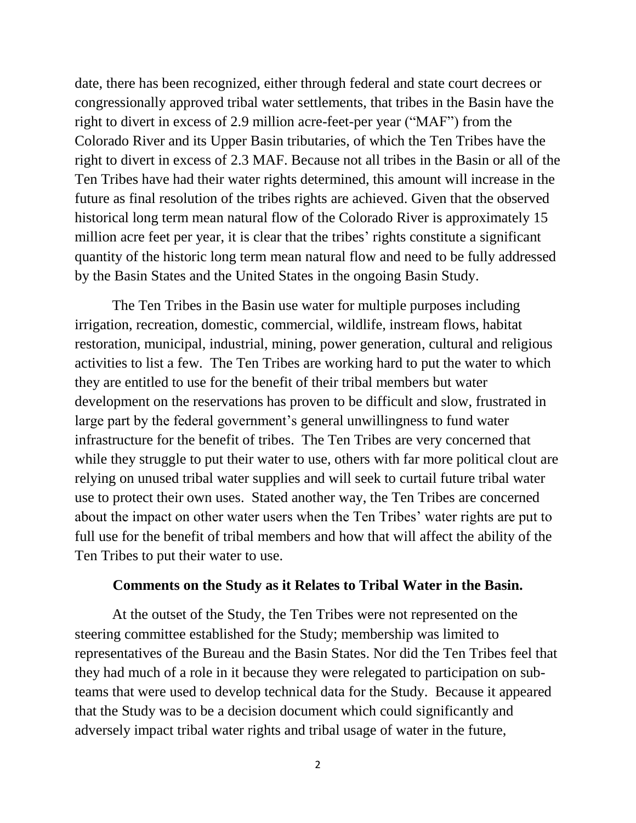date, there has been recognized, either through federal and state court decrees or congressionally approved tribal water settlements, that tribes in the Basin have the right to divert in excess of 2.9 million acre-feet-per year ("MAF") from the Colorado River and its Upper Basin tributaries, of which the Ten Tribes have the right to divert in excess of 2.3 MAF. Because not all tribes in the Basin or all of the Ten Tribes have had their water rights determined, this amount will increase in the future as final resolution of the tribes rights are achieved. Given that the observed historical long term mean natural flow of the Colorado River is approximately 15 million acre feet per year, it is clear that the tribes' rights constitute a significant quantity of the historic long term mean natural flow and need to be fully addressed by the Basin States and the United States in the ongoing Basin Study.

The Ten Tribes in the Basin use water for multiple purposes including irrigation, recreation, domestic, commercial, wildlife, instream flows, habitat restoration, municipal, industrial, mining, power generation, cultural and religious activities to list a few. The Ten Tribes are working hard to put the water to which they are entitled to use for the benefit of their tribal members but water development on the reservations has proven to be difficult and slow, frustrated in large part by the federal government's general unwillingness to fund water infrastructure for the benefit of tribes. The Ten Tribes are very concerned that while they struggle to put their water to use, others with far more political clout are relying on unused tribal water supplies and will seek to curtail future tribal water use to protect their own uses. Stated another way, the Ten Tribes are concerned about the impact on other water users when the Ten Tribes' water rights are put to full use for the benefit of tribal members and how that will affect the ability of the Ten Tribes to put their water to use.

#### **Comments on the Study as it Relates to Tribal Water in the Basin.**

At the outset of the Study, the Ten Tribes were not represented on the steering committee established for the Study; membership was limited to representatives of the Bureau and the Basin States. Nor did the Ten Tribes feel that they had much of a role in it because they were relegated to participation on subteams that were used to develop technical data for the Study. Because it appeared that the Study was to be a decision document which could significantly and adversely impact tribal water rights and tribal usage of water in the future,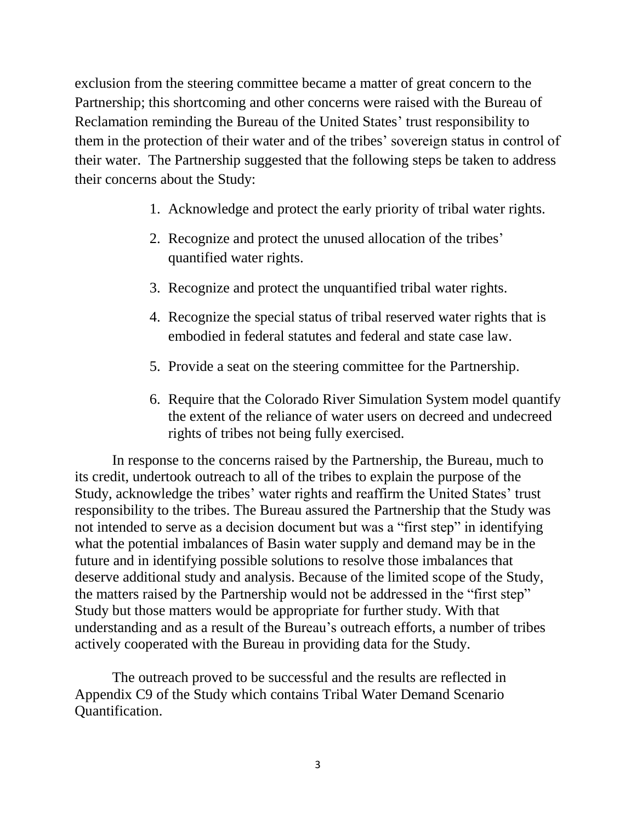exclusion from the steering committee became a matter of great concern to the Partnership; this shortcoming and other concerns were raised with the Bureau of Reclamation reminding the Bureau of the United States' trust responsibility to them in the protection of their water and of the tribes' sovereign status in control of their water. The Partnership suggested that the following steps be taken to address their concerns about the Study:

- 1. Acknowledge and protect the early priority of tribal water rights.
- 2. Recognize and protect the unused allocation of the tribes' quantified water rights.
- 3. Recognize and protect the unquantified tribal water rights.
- 4. Recognize the special status of tribal reserved water rights that is embodied in federal statutes and federal and state case law.
- 5. Provide a seat on the steering committee for the Partnership.
- 6. Require that the Colorado River Simulation System model quantify the extent of the reliance of water users on decreed and undecreed rights of tribes not being fully exercised.

In response to the concerns raised by the Partnership, the Bureau, much to its credit, undertook outreach to all of the tribes to explain the purpose of the Study, acknowledge the tribes' water rights and reaffirm the United States' trust responsibility to the tribes. The Bureau assured the Partnership that the Study was not intended to serve as a decision document but was a "first step" in identifying what the potential imbalances of Basin water supply and demand may be in the future and in identifying possible solutions to resolve those imbalances that deserve additional study and analysis. Because of the limited scope of the Study, the matters raised by the Partnership would not be addressed in the "first step" Study but those matters would be appropriate for further study. With that understanding and as a result of the Bureau's outreach efforts, a number of tribes actively cooperated with the Bureau in providing data for the Study.

The outreach proved to be successful and the results are reflected in Appendix C9 of the Study which contains Tribal Water Demand Scenario Quantification.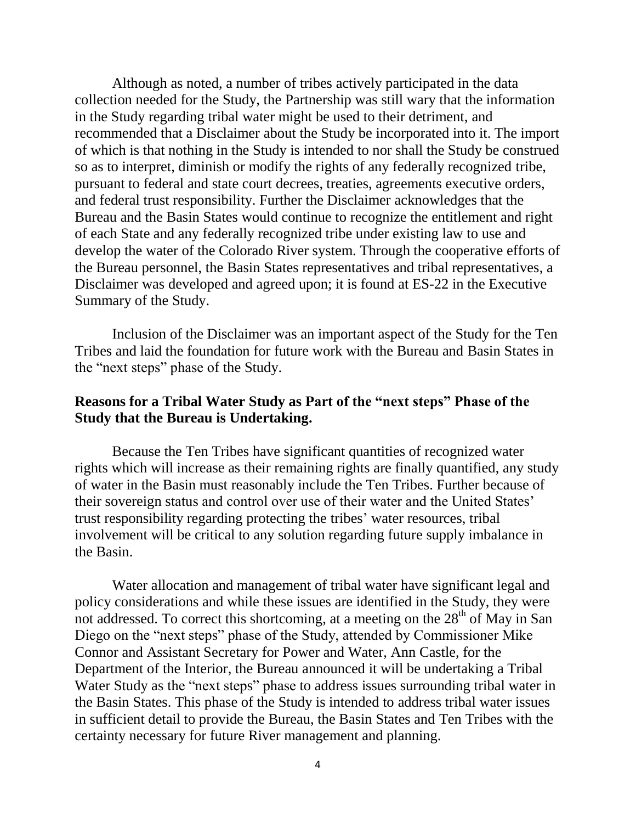Although as noted, a number of tribes actively participated in the data collection needed for the Study, the Partnership was still wary that the information in the Study regarding tribal water might be used to their detriment, and recommended that a Disclaimer about the Study be incorporated into it. The import of which is that nothing in the Study is intended to nor shall the Study be construed so as to interpret, diminish or modify the rights of any federally recognized tribe, pursuant to federal and state court decrees, treaties, agreements executive orders, and federal trust responsibility. Further the Disclaimer acknowledges that the Bureau and the Basin States would continue to recognize the entitlement and right of each State and any federally recognized tribe under existing law to use and develop the water of the Colorado River system. Through the cooperative efforts of the Bureau personnel, the Basin States representatives and tribal representatives, a Disclaimer was developed and agreed upon; it is found at ES-22 in the Executive Summary of the Study.

Inclusion of the Disclaimer was an important aspect of the Study for the Ten Tribes and laid the foundation for future work with the Bureau and Basin States in the "next steps" phase of the Study.

## **Reasons for a Tribal Water Study as Part of the "next steps" Phase of the Study that the Bureau is Undertaking.**

Because the Ten Tribes have significant quantities of recognized water rights which will increase as their remaining rights are finally quantified, any study of water in the Basin must reasonably include the Ten Tribes. Further because of their sovereign status and control over use of their water and the United States' trust responsibility regarding protecting the tribes' water resources, tribal involvement will be critical to any solution regarding future supply imbalance in the Basin.

Water allocation and management of tribal water have significant legal and policy considerations and while these issues are identified in the Study, they were not addressed. To correct this shortcoming, at a meeting on the  $28<sup>th</sup>$  of May in San Diego on the "next steps" phase of the Study, attended by Commissioner Mike Connor and Assistant Secretary for Power and Water, Ann Castle, for the Department of the Interior, the Bureau announced it will be undertaking a Tribal Water Study as the "next steps" phase to address issues surrounding tribal water in the Basin States. This phase of the Study is intended to address tribal water issues in sufficient detail to provide the Bureau, the Basin States and Ten Tribes with the certainty necessary for future River management and planning.